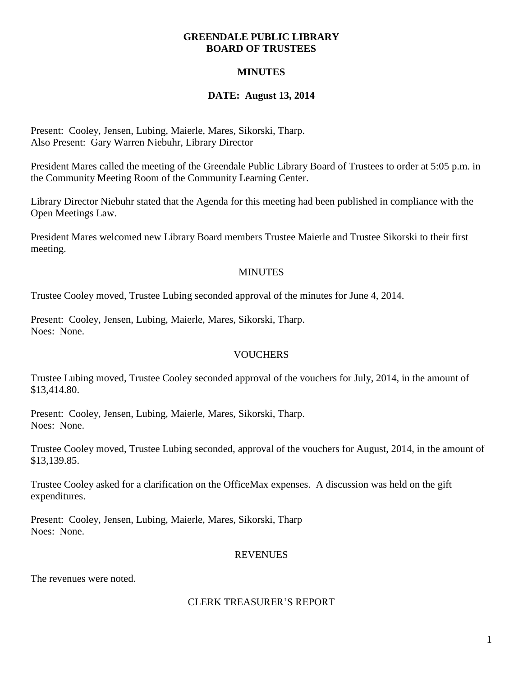#### **GREENDALE PUBLIC LIBRARY BOARD OF TRUSTEES**

# **MINUTES**

# **DATE: August 13, 2014**

Present: Cooley, Jensen, Lubing, Maierle, Mares, Sikorski, Tharp. Also Present: Gary Warren Niebuhr, Library Director

President Mares called the meeting of the Greendale Public Library Board of Trustees to order at 5:05 p.m. in the Community Meeting Room of the Community Learning Center.

Library Director Niebuhr stated that the Agenda for this meeting had been published in compliance with the Open Meetings Law.

President Mares welcomed new Library Board members Trustee Maierle and Trustee Sikorski to their first meeting.

### **MINUTES**

Trustee Cooley moved, Trustee Lubing seconded approval of the minutes for June 4, 2014.

Present: Cooley, Jensen, Lubing, Maierle, Mares, Sikorski, Tharp. Noes: None.

## **VOUCHERS**

Trustee Lubing moved, Trustee Cooley seconded approval of the vouchers for July, 2014, in the amount of \$13,414.80.

Present: Cooley, Jensen, Lubing, Maierle, Mares, Sikorski, Tharp. Noes: None.

Trustee Cooley moved, Trustee Lubing seconded, approval of the vouchers for August, 2014, in the amount of \$13,139.85.

Trustee Cooley asked for a clarification on the OfficeMax expenses. A discussion was held on the gift expenditures.

Present: Cooley, Jensen, Lubing, Maierle, Mares, Sikorski, Tharp Noes: None.

## **REVENUES**

The revenues were noted.

#### CLERK TREASURER'S REPORT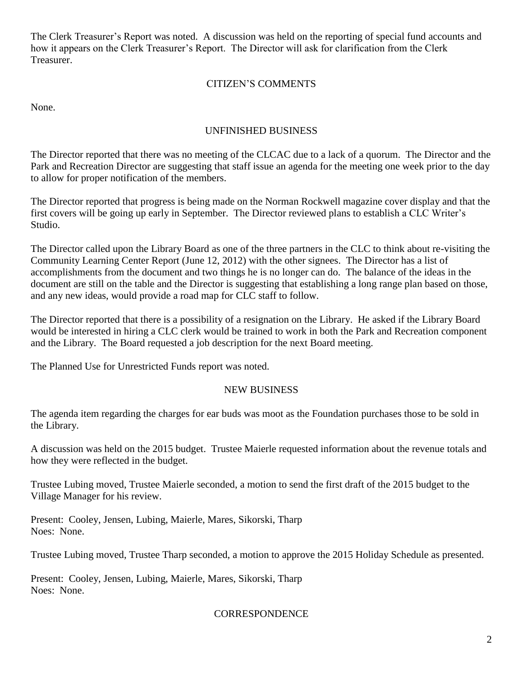The Clerk Treasurer's Report was noted. A discussion was held on the reporting of special fund accounts and how it appears on the Clerk Treasurer's Report. The Director will ask for clarification from the Clerk Treasurer.

# CITIZEN'S COMMENTS

None.

# UNFINISHED BUSINESS

The Director reported that there was no meeting of the CLCAC due to a lack of a quorum. The Director and the Park and Recreation Director are suggesting that staff issue an agenda for the meeting one week prior to the day to allow for proper notification of the members.

The Director reported that progress is being made on the Norman Rockwell magazine cover display and that the first covers will be going up early in September. The Director reviewed plans to establish a CLC Writer's Studio.

The Director called upon the Library Board as one of the three partners in the CLC to think about re-visiting the Community Learning Center Report (June 12, 2012) with the other signees. The Director has a list of accomplishments from the document and two things he is no longer can do. The balance of the ideas in the document are still on the table and the Director is suggesting that establishing a long range plan based on those, and any new ideas, would provide a road map for CLC staff to follow.

The Director reported that there is a possibility of a resignation on the Library. He asked if the Library Board would be interested in hiring a CLC clerk would be trained to work in both the Park and Recreation component and the Library. The Board requested a job description for the next Board meeting.

The Planned Use for Unrestricted Funds report was noted.

#### NEW BUSINESS

The agenda item regarding the charges for ear buds was moot as the Foundation purchases those to be sold in the Library.

A discussion was held on the 2015 budget. Trustee Maierle requested information about the revenue totals and how they were reflected in the budget.

Trustee Lubing moved, Trustee Maierle seconded, a motion to send the first draft of the 2015 budget to the Village Manager for his review.

Present: Cooley, Jensen, Lubing, Maierle, Mares, Sikorski, Tharp Noes: None.

Trustee Lubing moved, Trustee Tharp seconded, a motion to approve the 2015 Holiday Schedule as presented.

Present: Cooley, Jensen, Lubing, Maierle, Mares, Sikorski, Tharp Noes: None.

#### **CORRESPONDENCE**